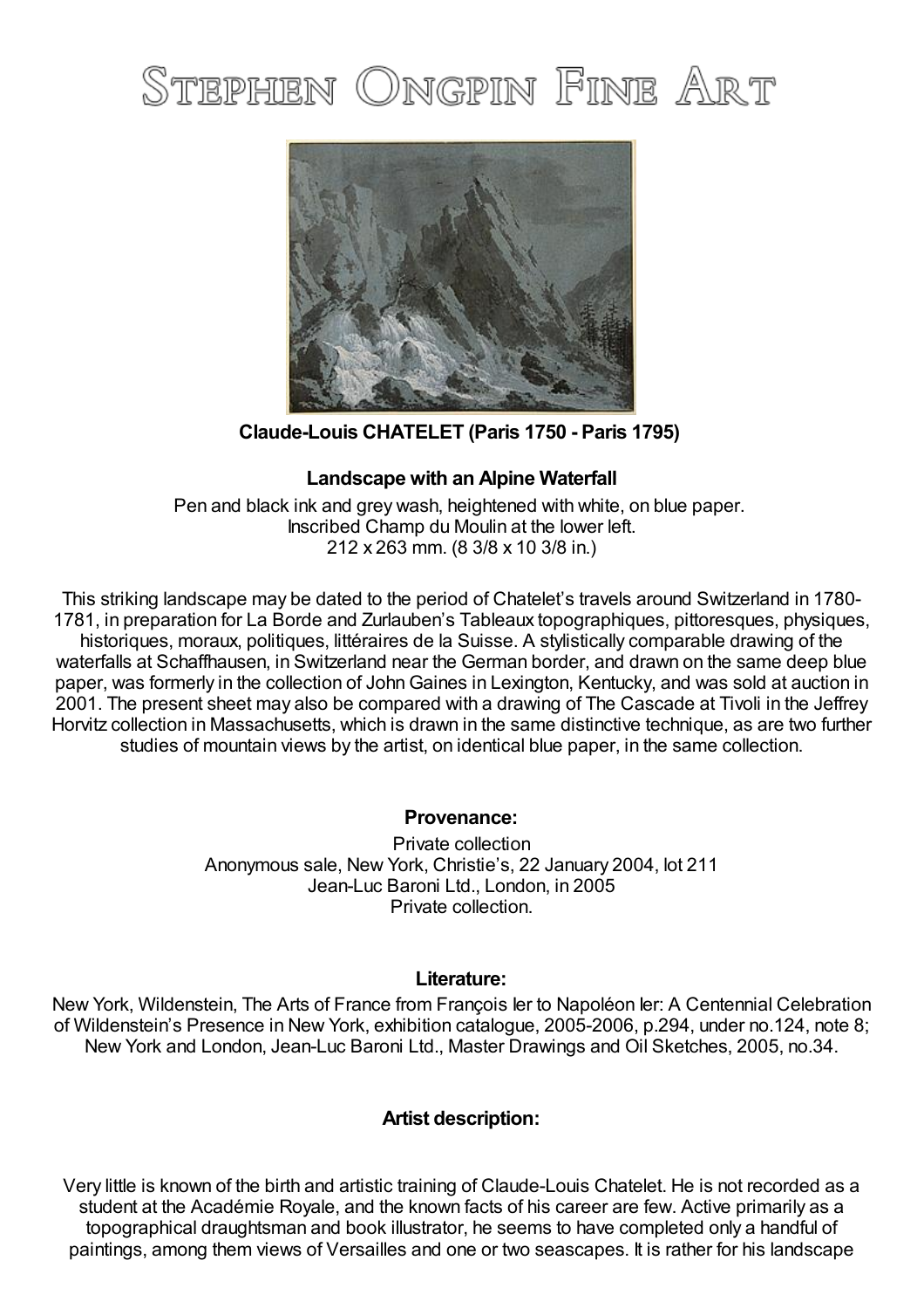# STEPHEN ONGPIN FINE ART



**Claude-Louis CHATELET (Paris 1750 - Paris 1795)**

## **Landscape with an Alpine Waterfall**

Pen and black ink and grey wash, heightened with white, on blue paper. Inscribed Champ du Moulin at the lower left. 212 x 263 mm. (8 3/8 x 10 3/8 in.)

This striking landscape may be dated to the period of Chatelet's travels around Switzerland in 1780- 1781, in preparation for La Borde and Zurlauben's Tableaux topographiques, pittoresques, physiques, historiques, moraux, politiques, littéraires de la Suisse. A stylistically comparable drawing of the waterfalls at Schaffhausen, in Switzerland near the German border, and drawn on the same deep blue paper, was formerly in the collection of John Gaines in Lexington, Kentucky, and was sold at auction in 2001. The present sheet may also be compared with a drawing of The Cascade at Tivoli in the Jeffrey Horvitz collection in Massachusetts, which is drawn in the same distinctive technique, as are two further studies of mountain views by the artist, on identical blue paper, in the same collection.

### **Provenance:**

Private collection Anonymous sale, New York, Christie's, 22 January 2004, lot 211 Jean-Luc Baroni Ltd., London, in 2005 Private collection.

### **Literature:**

New York, Wildenstein, The Arts of France from François Ier to Napoléon Ier: A Centennial Celebration of Wildenstein's Presence in New York, exhibition catalogue, 2005-2006, p.294, under no.124, note 8; New York and London, Jean-Luc Baroni Ltd., Master Drawings and Oil Sketches, 2005, no.34.

### **Artist description:**

Very little is known of the birth and artistic training of Claude-Louis Chatelet. He is not recorded as a student at the Académie Royale, and the known facts of his career are few. Active primarily as a topographical draughtsman and book illustrator, he seems to have completed only a handful of paintings, among them views of Versailles and one or two seascapes. It is rather for his landscape